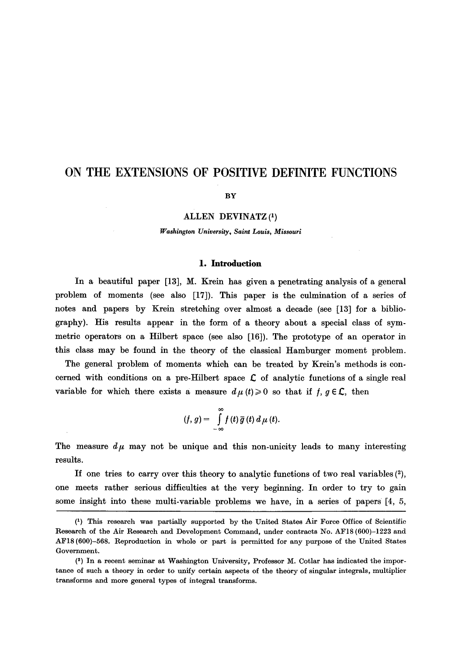# **ON THE EXTENSIONS OF POSITIVE DEFINITE FUNCTIONS**

#### **BY**

#### ALLEN DEVINATZ (1)

#### *Washington University, Saint Louis, Missouri*

#### 1. **Introduction**

In a beautiful paper  $[13]$ , M. Krein has given a penetrating analysis of a general problem of moments (see also [17]). This paper is the culmination of a series of notes and papers by Krein stretching over almost a decade (see [13] for a bibliography). His results appear in the form of a theory about a special class of symmetric operators on a Hilbert space (see also  $[16]$ ). The prototype of an operator in this class may be found in the theory of the classical Hamburger moment problem.

The general problem of moments which can be treated by Krein's methods is concerned with conditions on a pre-Hilbert space  $\mathcal L$  of analytic functions of a single real variable for which there exists a measure  $d\mu(t) \geq 0$  so that if  $f, g \in \mathcal{L}$ , then

$$
(f, g) = \int_{-\infty}^{\infty} f(t) \, \overline{g}(t) \, d\mu(t).
$$

The measure  $d\mu$  may not be unique and this non-unicity leads to many interesting results.

If one tries to carry over this theory to analytic functions of two real variables  $(2)$ , one meets rather serious difficulties at the very beginning. In order to try to gain some insight into these multi-variable problems we have, in a series of papers [4, 5,

Q) This research was partially supported by the United States Air Force Office of Scientific Research of the Air Research and Development Command, under contracts No. AF18 (600)-1223 and AF18 (600)-568. Reproduction in whole or part is permitted for any purpose of the United States Government.

<sup>(2)</sup> In a recent seminar at Washington University, Professor M. Cotlar has indicated the importance of such a theory in order to unify certain aspects of the theory of singular integrals, multiplier transforms and more general types of integral transforms.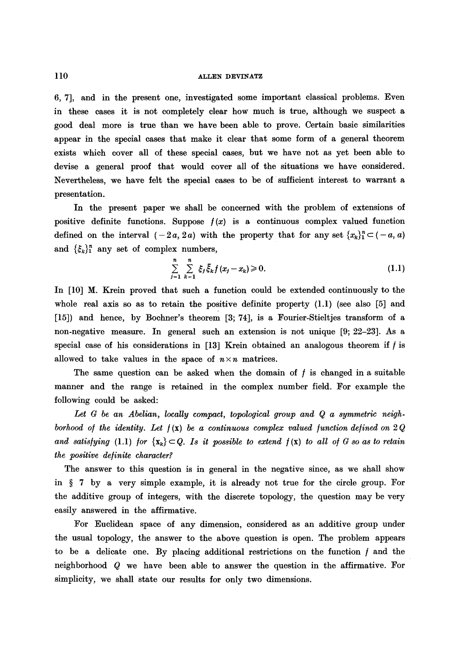## ll0 ALLEN DEVINATZ

6, 7], and in the present one, investigated some important classical problems. Even in these cases it is not completely clear how much is true, although we suspect a good deal more is true than we have been able to prove. Certain basic similarities appear in the special cases that make it clear that some form of a general theorem exists which cover all of these special cases, but we have not as yet been able to devise a general proof that would cover all of the situations we have considered. Nevertheless, we have felt the special eases to be of sufficient interest to warrant a presentation.

In the present paper we shall be concerned with the problem of extensions of positive definite functions. Suppose  $f(x)$  is a continuous complex valued function defined on the interval  $(-2a, 2a)$  with the property that for any set  $\{x_k\}_{1}^{n} \subset (-a, a)$ and  $\{\xi_k\}_{1}^n$  any set of complex numbers,

$$
\sum_{j=1}^{n} \sum_{k=1}^{n} \xi_j \bar{\xi}_k f(x_j - x_k) \geq 0.
$$
 (1.1)

In [10] M. Krein proved that such a function could be extended continuously to the whole real axis so as to retain the positive definite property  $(1.1)$  (see also [5] and [15]) and hence, by Bochner's theorem [3; 74], is a Fourier-Stieltjes transform of a non-negative measure. In general such an extension is not unique [9; 22-23]. As a special case of his considerations in  $[13]$  Krein obtained an analogous theorem if  $f$  is allowed to take values in the space of  $n \times n$  matrices.

The same question can be asked when the domain of  $f$  is changed in a suitable manner and the range is retained in the complex number field. For example the following could be asked:

Let *G be an Abelian, locally compact, topological group and Q a symmetric neigh*borhood of the identity. Let  $f(x)$  be a continuous complex valued function defined on 2 Q *and satisfying* (1.1) *for*  $\{x_k\} \subset Q$ . *Is it possible to extend*  $f(x)$  *to all of G so as to retain the positive de/inite character?* 

The answer to this question is in general in the negative since, as we shall show in  $\S$  7 by a very simple example, it is already not true for the circle group. For the additive group of integers, with the discrete topology, the question may be very easily answered in the affirmative.

For Euclidean space of any dimension, considered as an additive group under the usual topology, the answer to the above question is open. The problem appears to be a delicate one. By placing additional restrictions on the function  $f$  and the neighborhood Q we have been able to answer the question in the affirmative. For simplicity, we shall state our results for only two dimensions.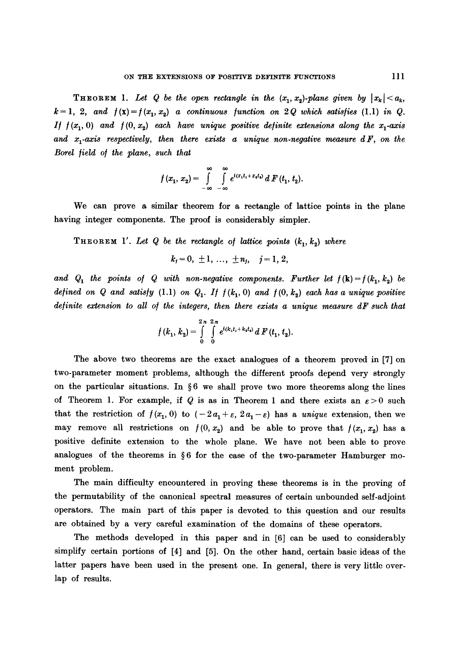**THEOREM** 1. Let Q be the open rectangle in the  $(x_1, x_2)$ -plane given by  $|x_k| < a_k$ ,  $k=1, 2, and f(x)=f(x_1, x_2)$  a continuous function on 2Q which satisfies (1.1) in Q. *If f*( $x_1$ , 0) and  $f(0, x_2)$  each have unique positive definite extensions along the  $x_1$ -axis and  $x_i$ -axis respectively, then there exists a unique non-negative measure  $dF$ , on the *Borel field of the plane, such that* 

$$
f(x_1, x_2) = \int_{-\infty}^{\infty} \int_{-\infty}^{\infty} e^{i(x_1t_1 + x_1t_2)} dF(t_1, t_2).
$$

We can prove a similar theorem for a rectangle of lattice points in the plane having integer components. The proof is considerably simpler.

**THEOREM** 1'. Let Q be the rectangle of lattice points  $(k_1, k_2)$  where

$$
k_j=0, \pm 1, ..., \pm n_j, \quad j=1, 2,
$$

and  $Q_1$  the points of  $Q$  with non-negative components. Further let  $f(\mathbf{k})=f(k_1, k_2)$  be *defined on Q and satisfy* (1.1) on  $Q_1$ . If  $f(k_1, 0)$  and  $f(0, k_2)$  each has a unique positive *definite extension to all of the integers, then there exists a unique measure dF such that* 

$$
f(k_1, k_2) = \int\limits_0^{2\pi} \int\limits_0^{2\pi} e^{i(k_1t_1 + k_1t_2)} dF(t_1, t_2).
$$

The above two theorems are the exact analogues of a theorem proved in [7] on two-parameter moment problems, although the different proofs depend very strongly on the particular situations. In  $\S 6$  we shall prove two more theorems along the lines of Theorem 1. For example, if Q is as in Theorem 1 and there exists an  $\varepsilon > 0$  such that the restriction of  $f(x_1, 0)$  to  $(-2a_1 + \varepsilon, 2a_1 - \varepsilon)$  has a *unique* extension, then we may remove all restrictions on  $f(0, x_2)$  and be able to prove that  $f(x_1, x_2)$  has a positive definite extension to the whole plane. We have not been able to prove analogues of the theorems in  $\S 6$  for the case of the two-parameter Hamburger moment problem.

The main difficulty encountered in proving these theorems is in the proving of the permutability of the canonical spectral measures of certain unbounded self-adjoint operators. The main part of this paper is devoted to this question and our results are obtained by a very careful examination of the domains of these operators.

The methods developed in this paper and in [6] can be used to considerably simplify certain portions of [4] and [5]. On the other hand, certain basic ideas of the latter papers have been used in the present one. In general, there is very little overlap of results.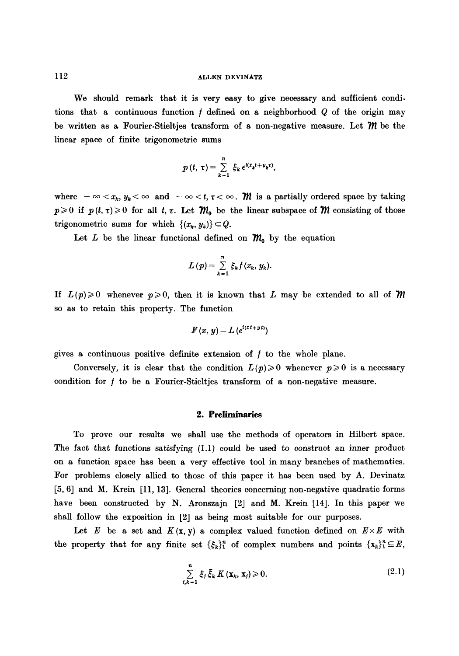We should remark that it is very easy to give necessary and sufficient conditions that a continuous function  $f$  defined on a neighborhood  $Q$  of the origin may be written as a Fourier-Stieltjes transform of a non-negative measure. Let  $\mathcal{W}$  be the linear space of finite trigonometric sums

$$
p(t, \tau) = \sum_{k=1}^n \xi_k e^{i(x_k t + y_k \tau)},
$$

where  $-\infty < x_k$ ,  $y_k < \infty$  and  $-\infty < t$ ,  $\tau < \infty$ . M is a partially ordered space by taking  $p \ge 0$  if  $p(t, \tau) \ge 0$  for all  $t, \tau$ . Let  $\mathcal{M}_0$  be the linear subspace of  $\mathcal M$  consisting of those trigonometric sums for which  $\{(x_k, y_k)\}\subset Q$ .

Let L be the linear functional defined on  $\mathcal{M}_0$  by the equation

$$
L(p) = \sum_{k=1}^n \xi_k f(x_k, y_k).
$$

If  $L(p)\geqslant 0$  whenever  $p\geqslant 0$ , then it is known that L may be extended to all of M so as to retain this property. The function

$$
F(x, y) = L(e^{i(x t + y t)})
$$

gives a continuous positive definite extension of  $f$  to the whole plane.

Conversely, it is clear that the condition  $L(p) \geq 0$  whenever  $p \geq 0$  is a necessary condition for / to be a Fourier-Stieltjes transform of a non-negative measure.

#### **2. Preliminaries**

To prove our results we shall use the methods of operators in Hilbert space. The fact that functions satisfying (1.1) could be used to construct an inner product on a function space has been a very effective tool in many branches of mathematics. For problems closely allied to those of this paper it has been used by A. Devinatz [5, 6] and M. Krein [11, 13]. General theories concerning non-negative quadratic forms have been constructed by N. Aronszajn [2] and M. Krein [14]. In this paper we shall follow the exposition in [2] as being most suitable for our purposes.

Let E be a set and  $K(x, y)$  a complex valued function defined on  $E \times E$  with the property that for any finite set  $\{\xi_k\}_{1}^n$  of complex numbers and points  $\{\mathbf{x}_k\}_{1}^n \subseteq E$ ,

$$
\sum_{j,k=1}^{n} \xi_j \overline{\xi}_k K(\mathbf{x}_k, \mathbf{x}_j) \geq 0. \tag{2.1}
$$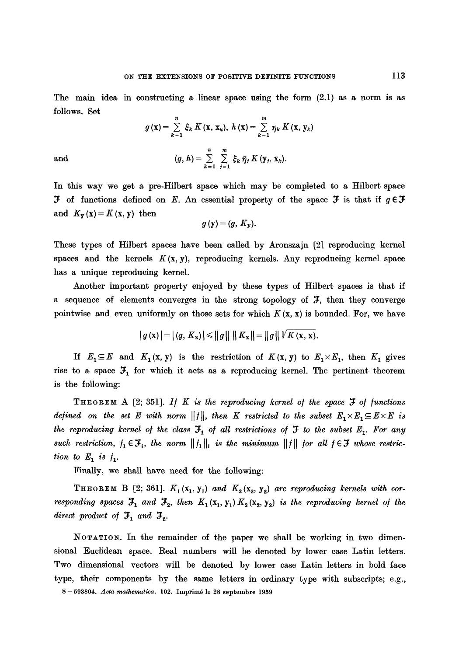The main idea in constructing a linear space using the form  $(2.1)$  as a norm is as follows. Set

$$
g(\mathbf{x}) = \sum_{k=1}^{n} \xi_k K(\mathbf{x}, \mathbf{x}_k), \ h(\mathbf{x}) = \sum_{k=1}^{m} \eta_k K(\mathbf{x}, \mathbf{y}_k)
$$

$$
(g, h) = \sum_{k=1}^{n} \sum_{j=1}^{m} \xi_k \bar{\eta}_j K(\mathbf{y}_j, \mathbf{x}_k).
$$

and

In this way we get a pre-Hilbert space which may be completed to a Hilbert space **3** of functions defined on E. An essential property of the space **3** is that if  $g \in \mathcal{F}$ and  $K_{\mathbf{y}}(\mathbf{x}) = K(\mathbf{x}, \mathbf{y})$  then

$$
g\left(\mathbf{y}\right)=\left(g,\,K_{\mathbf{y}}\right).
$$

These types of Hilbert spaces have been called by Aronszajn [2] reproducing kernel spaces and the kernels  $K(x, y)$ , reproducing kernels. Any reproducing kernel space has a unique reproducing kernel.

Another important property enjoyed by these types of Hilbert spaces is that if a sequence of elements converges in the strong topology of  $\mathcal{F}$ , then they converge pointwise and even uniformly on those sets for which  $K(\mathbf{x}, \mathbf{x})$  is bounded. For, we have

$$
|g(\mathbf{x})| = |(g, K_{\mathbf{x}})| \leq |g| \, ||K_{\mathbf{x}}|| = ||g|| \, |V K(\mathbf{x}, \mathbf{x}).
$$

If  $E_1 \subseteq E$  and  $K_1(x, y)$  is the restriction of  $K(x, y)$  to  $E_1 \times E_1$ , then  $K_1$  gives rise to a space  $\mathfrak{I}_1$  for which it acts as a reproducing kernel. The pertinent theorem is the following:

THEOREM A  $[2; 351]$ . If K is the reproducing kernel of the space  $\mathfrak F$  of functions *defined on the set E with norm*  $||f||$ , *then K restricted to the subset*  $E_1 \times E_1 \subseteq E \times E$  is the reproducing kernel of the class  $\mathfrak{I}_1$  of all restrictions of  $\mathfrak I$  to the subset  $E_1$ . For any such restriction,  $f_1 \in \mathcal{F}_1$ , the norm  $||f_1||_1$  is the minimum  $||f||$  for all  $f \in \mathcal{F}$  whose restric*tion to*  $E_1$  *is*  $f_1$ .

Finally, we shall have need for the following:

THEOREM B [2; 361].  $K_1(x_1, y_1)$  and  $K_2(x_2, y_2)$  are reproducing kernels with cor*responding spaces*  $\mathcal{F}_1$  and  $\mathcal{F}_2$ , then  $K_1(x_1, y_1) K_2(x_2, y_2)$  *is the reproducing kernel of the direct product of*  $\mathfrak{F}_1$  *and*  $\mathfrak{F}_2$ *.* 

NOTATION. In the remainder of the paper we shall be working in two dimensional Euehdean space. Real numbers will be denoted by lower case Latin letters. Two dimensional vectors will be denoted by lower case Latin letters in bold face type, their components by the same letters in ordinary type with subscripts; e.g.,

8 --593804. *Acta mathematica.* 102. Imprim6 le 28 septembre 1959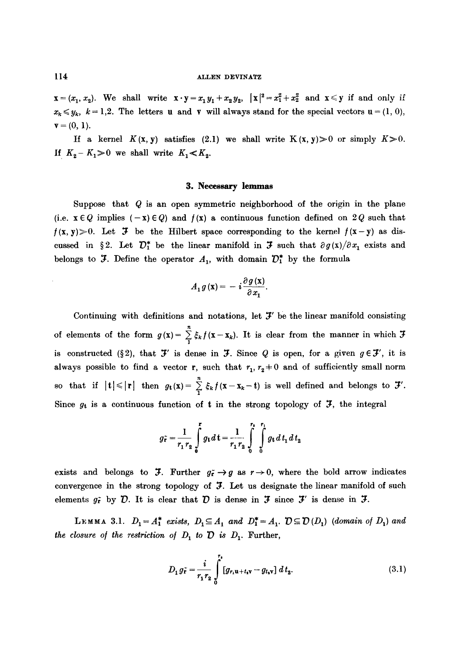$\mathbf{x} = (x_1, x_2)$ . We shall write  $\mathbf{x} \cdot \mathbf{y} = x_1 y_1 + x_2 y_2$ ,  $|\mathbf{x}|^2 = x_1^2 + x_2^2$  and  $\mathbf{x} \leq \mathbf{y}$  if and only if  $x_k \leq y_k$ ,  $k = 1,2$ . The letters u and v will always stand for the special vectors  $u = (1, 0)$ ,  $$ 

If a kernel  $K(x, y)$  satisfies (2.1) we shall write  $K(x, y) \geq 0$  or simply  $K \geq 0$ . If  $K_2 - K_1 > 0$  we shall write  $K_1 < K_2$ .

#### 3. Necessary lemmas

Suppose that  $Q$  is an open symmetric neighborhood of the origin in the plane (i.e.  $\mathbf{x} \in Q$  implies  $(-\mathbf{x}) \in Q$ ) and  $f(\mathbf{x})$  a continuous function defined on 2Q such that  $f(x, y) > 0$ . Let  $\mathcal F$  be the Hilbert space corresponding to the kernel  $f(x-y)$  as discussed in §2. Let  $\mathcal{D}_1^*$  be the linear manifold in  $\mathcal F$  such that  $\partial g(x)/\partial x_1$  exists and belongs to  $\mathfrak I$ . Define the operator  $A_1$ , with domain  $\mathcal D^*$  by the formula

$$
A_1 g(\mathbf{x}) = -i \frac{\partial g(\mathbf{x})}{\partial x_1}.
$$

Continuing with definitions and notations, let  $\mathcal{F}'$  be the linear manifold consisting of elements of the form  $g(x) = \sum_{i} \xi_k f(x - x_k)$ . It is clear from the manner in which  $\mathcal{F}$ is constructed (§2), that  $\mathcal{F}'$  is dense in  $\mathcal{F}$ . Since Q is open, for a given  $g \in \mathcal{F}'$ , it is always possible to find a vector r, such that  $r_1, r_2 \pm 0$  and of sufficiently small norm so that if  $|t| \leq |r|$  then  $g_t(x) = \sum_{i=1}^{n} \xi_k f(x-x_k-t)$  is well defined and belongs to  $\mathcal{F}'$ . Since  $g_t$  is a continuous function of t in the strong topology of  $\mathcal{F}$ , the integral

$$
g_{\mathbf{r}}^{\sim} = \frac{1}{r_1 r_2} \int_{0}^{\mathbf{r}} g_{\mathbf{t}} d\mathbf{t} = \frac{1}{r_1 r_2} \int_{0}^{r_1} \int_{0}^{r_1} g_{\mathbf{t}} d\mathbf{t}_1 d\mathbf{t}_2
$$

exists and belongs to  $\mathfrak{F}$ . Further  $g_f^2 \rightarrow g$  as  $r \rightarrow 0$ , where the bold arrow indicates convergence in the strong topology of  $\mathfrak F$ . Let us designate the linear manifold of such elements  $g_r^*$  by  $\mathcal{D}$ . It is clear that  $\mathcal{D}$  is dense in  $\mathcal{F}$  is dense in  $\mathcal{F}$ .

LEMMA 3.1.  $D_1 = A_1^*$  exists,  $D_1 \subseteq A_1$  and  $D_1^* = A_1$ .  $D \subseteq D(D_1)$  *(domain of D<sub>1</sub>) and the closure of the restriction of*  $D_1$  *to*  $\overline{D}$  *is*  $D_1$ *. Further,* 

$$
D_1 g_{\mathbf{r}}^* = \frac{i}{r_1 r_2} \int_0^{r_1} [g_{r_1 \mathbf{u} + t_1 \mathbf{v}} - g_{t_1 \mathbf{v}}] dt_2.
$$
 (3.1)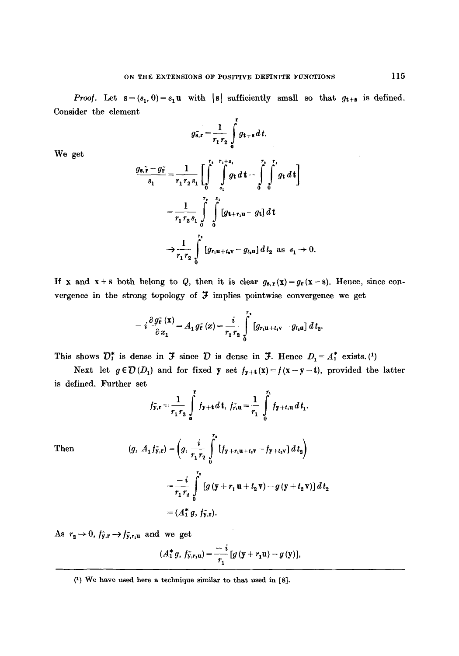*Proof.* Let  $s = (s_1, 0) = s_1 u$  with  $|s|$  sufficiently small so that  $g_{t+s}$  is defined. Consider the element

$$
g_{\mathbf{s},\mathbf{r}} = \frac{1}{r_1 r_2} \int\limits_0^{\mathbf{r}} g_{\mathbf{t} + \mathbf{s}} dt.
$$

We get

$$
\frac{g_{s,\tilde{r}}-g_{\tilde{r}}}{s_1} = \frac{1}{r_1 r_2 s_1} \left[ \int_0^{r_1} \int_{s_1}^{r_1+s_1} g_t dt - \int_0^{r_1} \int_0^{r_1} g_t dt \right]
$$

$$
= \frac{1}{r_1 r_2 s_1} \int_0^{r_2} \int_0^{s_1} [g_{t+r_1}u - g_t] dt
$$

$$
\rightarrow \frac{1}{r_1 r_2} \int_0^{r_1} [g_{r_1}u_{t+r_2} - g_{t_1}u] dt_2 \text{ as } s_1 \rightarrow 0.
$$

If x and x+s both belong to *Q*, then it is clear  $g_{s,r}(x)=g_r(x-s)$ . Hence, since convergence in the strong topology of  $J$  implies pointwise convergence we get

$$
-i\frac{\partial g_{\tilde{\mathbf{r}}}\left(\mathbf{x}\right)}{\partial x_{1}}=A_{1}g_{\tilde{\mathbf{r}}}\left(x\right)=\frac{i}{r_{1}r_{2}}\int\limits_{0}^{r_{1}}\left[g_{r_{1}\mathbf{u}+t_{1}\mathbf{v}}-g_{t_{1}\mathbf{u}}\right]dt_{2}.
$$

This shows  $\mathcal{D}_1^*$  is dense in  $\mathcal F$  since  $\mathcal D$  is dense in  $\mathcal F$ . Hence  $D_1 = A_1^*$  exists. (1)

Next let  $g \in \mathcal{D}(D_1)$  and for fixed y set  $f_{y+t}(x) = f(x-y-t)$ , provided the latter is defined. Further set

$$
f_{\mathbf{y},\mathbf{r}} = \frac{1}{r_1 r_2} \int_{0}^{\mathbf{r}} f_{\mathbf{y}+\mathbf{t}} d\mathbf{t}, f_{\mathbf{r},\mathbf{u}} = \frac{1}{r_1} \int_{0}^{r_1} f_{\mathbf{y}+t_1\mathbf{u}} d\mathbf{t}_1.
$$

Then

$$
(g, A_1 f_{\tilde{y},r}) = \left(g, \frac{i}{r_1 r_2} \int_0^{r_1} [f_{y+r_1u+t_2v} - f_{y+t_2v}] dt_2\right)
$$
  
=  $\frac{-i}{r_1 r_2} \int_0^{r_1} [g(y+r_1u+t_2v) - g(y+t_2v)] dt_2$   
=  $(A_1^* g, f_{\tilde{y},r}).$ 

As  $r_2 \rightarrow 0$ ,  $f_{y,r} \rightarrow f_{y,r,u}$  and we get

$$
(A_1^* g, f_{y,r_1u}) = \frac{-i}{r_1} [g (y + r_1u) - g (y)],
$$

<sup>(1)</sup> We have used here a technique similar to that used in [8].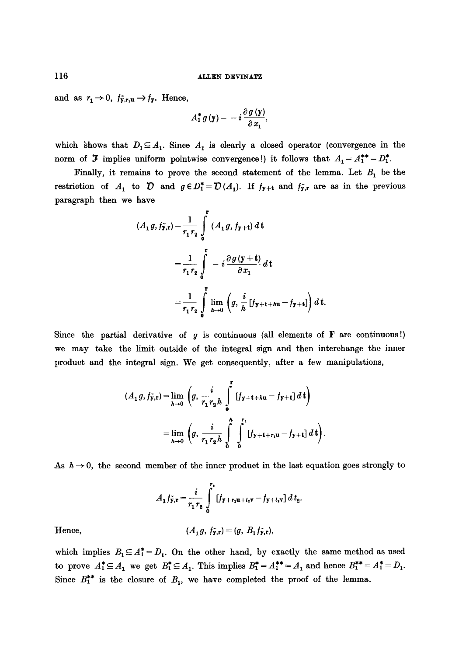and as  $r_1 \rightarrow 0$ ,  $f_{\tilde{y},r_1u} \rightarrow f_{\tilde{y}}$ . Hence,

$$
A_1^* g(\mathbf{y}) = -i \frac{\partial g(\mathbf{y})}{\partial x_1},
$$

which shows that  $D_1 \subseteq A_1$ . Since  $A_1$  is clearly a closed operator (convergence in the norm of  $\mathfrak F$  implies uniform pointwise convergence!) it follows that  $A_1 = A_1^{**} = D_1^*$ .

Finally, it remains to prove the second statement of the lemma. Let  $B_1$  be the restriction of  $A_1$  to  $D$  and  $g \in D_1^* = D(A_1)$ . If  $f_{y+t}$  and  $f_{y,t}$  are as in the previous paragraph then we have

$$
(A_1 g, f_{y,r}) = \frac{1}{r_1 r_2} \int_{0}^{r} (A_1 g, f_{y+t}) dt
$$
  
=  $\frac{1}{r_1 r_2} \int_{0}^{r} -i \frac{\partial g (y+t)}{\partial x_1} dt$   
=  $\frac{1}{r_1 r_2} \int_{0}^{r} \lim_{h \to 0} (g, \frac{i}{h} [f_{y+t+h}u - f_{y+t}]) dt.$ 

Since the partial derivative of  $g$  is continuous (all elements of  $\bf{F}$  are continuous!) we may take the limit outside of the integral sign and then interchange the inner product and the integral sign. We get consequently, after a few manipulations,

$$
(A_1 g, f_{y,r}) = \lim_{h \to 0} \left( g, \frac{i}{r_1 r_2 h} \int_0^r [f_{y+t+hu} - f_{y+t}] dt \right)
$$

$$
= \lim_{h \to 0} \left( g, \frac{i}{r_1 r_2 h} \int_0^h \int_0^{r_1} [f_{y+t+r_1u} - f_{y+t}] dt \right)
$$

As  $h \rightarrow 0$ , the second member of the inner product in the last equation goes strongly to

$$
A_1 f_{\mathbf{y},\mathbf{r}} = \frac{i}{r_1 r_2} \int_{0}^{r_1} [f_{\mathbf{y} + r_1 \mathbf{u} + t_4 \mathbf{v}} - f_{\mathbf{y} + t_4 \mathbf{v}}] dt_2.
$$

Hence,  $(A_1 g, f_{\mathbf{y},\mathbf{r}}) = (g, B_1 f_{\mathbf{y},\mathbf{r}}),$ 

which implies  $B_1 \subseteq A_1^* = D_1$ . On the other hand, by exactly the same method as used to prove  $A_1^* \subseteq A_1$  we get  $B_1^* \subseteq A_1$ . This implies  $B_1^* = A_1^{**} = A_1$  and hence  $B_1^{**} = A_1^* = D_1$ . Since  $B^{**}_1$  is the closure of  $B_1$ , we have completed the proof of the lemma.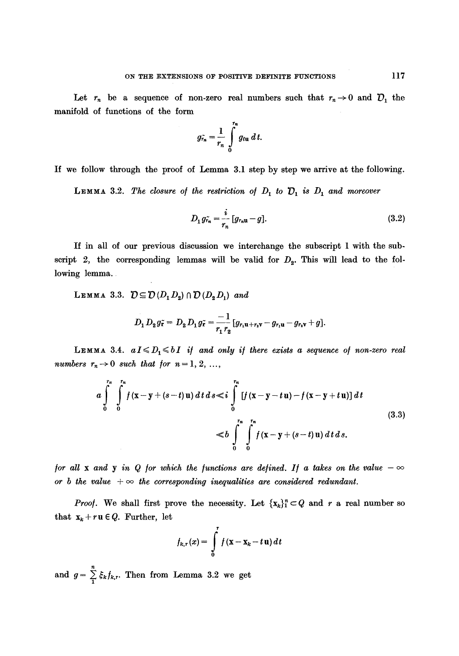Let  $r_n$  be a sequence of non-zero real numbers such that  $r_n \to 0$  and  $\mathcal{D}_1$  the manifold of functions of the form

$$
g_{r_n} = \frac{1}{r_n} \int\limits_0^{r_n} g_{t_n} dt.
$$

If we follow through the proof of Lemma 3.1 step by step we arrive at the following.

**LEMMA** 3.2. The closure of the restriction of  $D_1$  to  $D_1$  is  $D_1$  and moreover

$$
D_1 g_{r_n}^* = \frac{i}{r_n} [g_{r_n u} - g]. \tag{3.2}
$$

If in all of our previous discussion we interchange the subscript 1 with the subscript 2, the corresponding lemmas will be valid for  $D_2$ . This will lead to the following lemma.

LEMMA 3.3.  $\mathcal{D} \subseteq \mathcal{D}(D_1D_2) \cap \mathcal{D}(D_2D_1)$  and

$$
D_1 D_2 g_{\tilde{r}} = D_2 D_1 g_{\tilde{r}} = \frac{-1}{r_1 r_2} [g_{r_1 u + r_2 v} - g_{r_1 u} - g_{r_2 v} + g].
$$

LEMMA 3.4.  $aI \le D_1 \le bI$  if and only if there exists a sequence of non-zero real *numbers*  $r_n \rightarrow 0$  *such that for*  $n = 1, 2, ...,$ 

$$
a \int_{0}^{r_n} \int_{0}^{r_n} f(x-y+(s-t)u) dt ds \leq i \int_{0}^{r_n} [f(x-y-tu)-f(x-y+tu)] dt
$$
\n
$$
\leq b \int_{0}^{r_n} \int_{0}^{r_n} f(x-y+(s-t)u) dt ds.
$$
\n(3.3)

*for all x and y in Q for which the functions are defined. If a takes on the value*  $-\infty$ or *b* the value  $+\infty$  the corresponding inequalities are considered redundant.

*Proof.* We shall first prove the necessity. Let  $\{x_k\}_{1}^{n} \subset Q$  and r a real number so that  $x_k + ru \in Q$ . Further, let

$$
f_{k,r}(x) = \int\limits_0^r f(x - \mathbf{x}_k - t\,\mathbf{u})\,dt
$$

and  $g = \sum_{i} \xi_k f_{k,r}$ . Then from Lemma 3.2 we get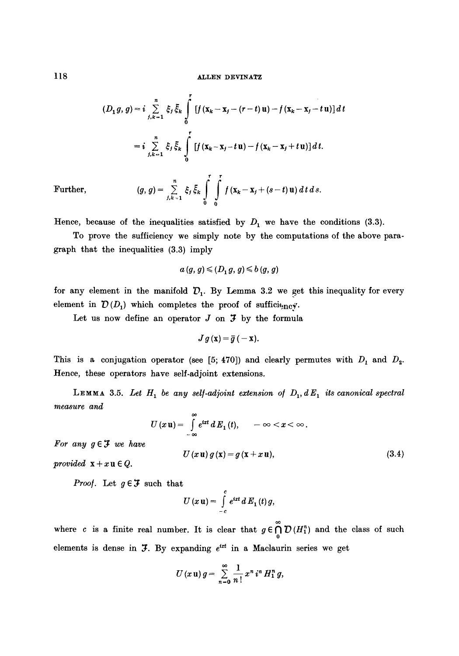$$
(D_1 g, g) = i \sum_{j,k=1}^n \xi_j \bar{\xi}_k \int_0^r [f(x_k - x_j - (r - t)u) - f(x_k - x_j - tu)] dt
$$
  
=  $i \sum_{j,k=1}^n \xi_j \bar{\xi}_k \int_0^r [f(x_k - x_j - tu) - f(x_k - x_j + tu)] dt.$ 

Further, 
$$
(g, g) = \sum_{j,k=1}^{n} \xi_j \bar{\xi}_k \int_{0}^{r} \int_{0}^{r} f(x_k - x_j + (s-t) \mathbf{u}) dt ds
$$

Hence, because of the inequalities satisfied by  $D_1$  we have the conditions (3.3).

To prove the sufficiency we simply note by the computations of the above paragraph that the inequalities (3.3) imply

$$
a(g,g) \leqslant (D_1 g, g) \leqslant b(g,g)
$$

for any element in the manifold  $D_1$ . By Lemma 3.2 we get this inequality for every element in  $\mathcal{D}(D_1)$  which completes the proof of sufficition  $\mathcal{D}(D_1)$ 

Let us now define an operator  $J$  on  $J$  by the formula

$$
J g(\mathbf{x}) = \overline{g}(-\mathbf{x}).
$$

This is a conjugation operator (see [5; 470]) and clearly permutes with  $D_1$  and  $D_2$ . Hence, these operators have self-adjoint extensions.

LEMMA 3.5. Let  $H_1$  be any self-adjoint extension of  $D_1$ ,  $dE_1$  its canonical spectral *measure and* 

$$
U(x\mathbf{u})=\int\limits_{-\infty}^{\infty}e^{ixt}\,dE_1(t),\qquad -\infty
$$

*For any*  $g \in \mathcal{F}$  *we have* 

$$
U(x\mathbf{u})g(\mathbf{x})=g(\mathbf{x}+x\mathbf{u}),
$$
\n(3.4)

*provided*  $x + x u \in Q$ .

*Proof.* Let  $g \in \mathcal{F}$  such that

$$
U(x\,\mathbf{u})=\int\limits_{-c}^{c}e^{ixt}\,d\,E_1(t)\,g,
$$

where c is a finite real number. It is clear that  $g \in \bigcap_{0} D(H_{1}^{n})$  and the class of such elements is dense in  $J$ . By expanding  $e^{ixt}$  in a Maclaurin series we get

$$
U(x\,\mathbf{u})\,g=\sum_{n=0}^\infty\frac{1}{n\,!}\,x^n\,i^n\,H_1^n\,g,
$$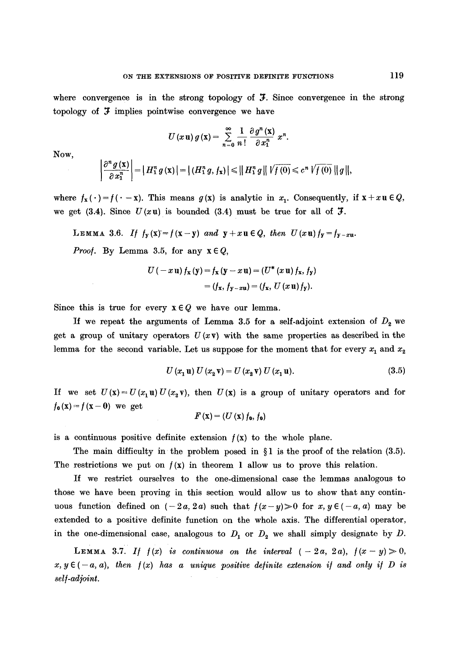where convergence is in the strong topology of  $\mathcal{F}$ . Since convergence in the strong topology of  $\mathfrak F$  implies pointwise convergence we have

$$
U(x\mathbf{u}) g(\mathbf{x}) = \sum_{n=0}^{\infty} \frac{1}{n!} \frac{\partial g^{n}(\mathbf{x})}{\partial x_{1}^{n}} x^{n}.
$$

NOW,

$$
\left|\frac{\partial^{n} g(\mathbf{x})}{\partial x_{1}^{n}}\right| = |H_{1}^{n} g(\mathbf{x})| = |(H_{1}^{n} g, f_{\mathbf{x}})| \leq ||H_{1}^{n} g|| \sqrt{f(0)} \leq c^{n} \sqrt{f(0)} ||g||,
$$

where  $f_x(\cdot) = f(\cdot - x)$ . This means  $g(x)$  is analytic in  $x_1$ . Consequently, if  $x + x u \in Q$ , we get (3.4). Since  $U(xu)$  is bounded (3.4) must be true for all of  $\mathcal{F}$ .

LEMMA 3.6. If 
$$
f_y(x) = f(x-y)
$$
 and  $y + xu \in Q$ , then  $U(xu) f_y = f_{y-xu}$ .

*Proof.* By Lemma 3.5, for any  $x \in Q$ ,

$$
U(-x \mathbf{u}) f_{\mathbf{x}}(\mathbf{y}) = f_{\mathbf{x}}(\mathbf{y} - x \mathbf{u}) = (U^* (x \mathbf{u}) f_{\mathbf{x}}, f_{\mathbf{y}})
$$
  
=  $(f_{\mathbf{x}}, f_{\mathbf{y} - x \mathbf{u}}) = (f_{\mathbf{x}}, U (x \mathbf{u}) f_{\mathbf{y}}).$ 

Since this is true for every  $x \in Q$  we have our lemma.

If we repeat the arguments of Lemma 3.5 for a self-adjoint extension of  $D<sub>2</sub>$  we get a group of unitary operators  $U(xv)$  with the same properties as described in the lemma for the second variable. Let us suppose for the moment that for every  $x_1$  and  $x_2$ 

$$
U(x_1 \mathbf{u}) U(x_2 \mathbf{v}) = U(x_2 \mathbf{v}) U(x_1 \mathbf{u}). \qquad (3.5)
$$

If we set  $U(x) = U(x_1 \mathbf{u}) U(x_2 \mathbf{v})$ , then  $U(x)$  is a group of unitary operators and for  $f_0(x) = f(x - 0)$  we get

$$
F(\mathbf{x})=(U(\mathbf{x})f_{\mathbf{0}},f_{\mathbf{0}})
$$

is a continuous positive definite extension  $f(x)$  to the whole plane.

The main difficulty in the problem posed in  $\S1$  is the proof of the relation (3.5). The restrictions we put on  $f(x)$  in theorem 1 allow us to prove this relation.

If we restrict ourselves to the one-dimensional ease the lemmas analogous to those we have been proving in this section would allow us to show that any continuous function defined on  $(-2a, 2a)$  such that  $f(x-y) > 0$  for  $x, y \in (-a, a)$  may be extended to a positive definite function on the whole axis. The differential operator, in the one-dimensional case, analogous to  $D_1$  or  $D_2$  we shall simply designate by D.

LEMMA 3.7. If  $f(x)$  is continuous on the interval  $(-2a, 2a)$ ,  $f(x-y)\geq 0$ ,  $x, y \in (-a, a)$ , then  $f(x)$  has a unique positive definite extension if and only if D is *sel/-ad]oint.*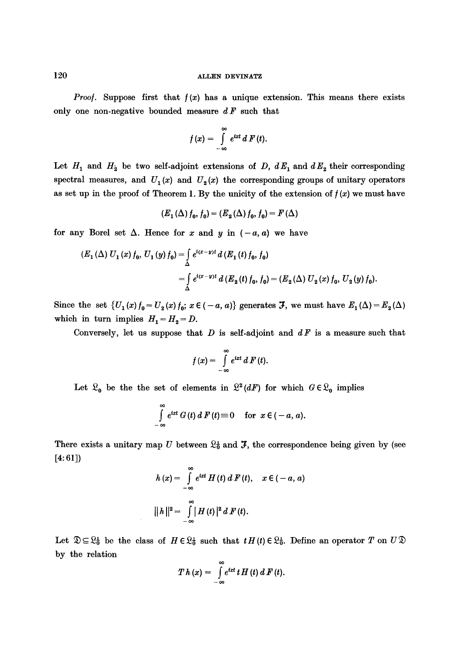*Proof.* Suppose first that  $f(x)$  has a unique extension. This means there exists only one non-negative bounded measure *d F* such that

$$
f(x) = \int_{-\infty}^{\infty} e^{ixt} dF(t).
$$

Let  $H_1$  and  $H_2$  be two self-adjoint extensions of *D, dE*<sub>1</sub> and  $dE_2$  their corresponding spectral measures, and  $U_1(x)$  and  $U_2(x)$  the corresponding groups of unitary operators as set up in the proof of Theorem 1. By the unicity of the extension of  $f(x)$  we must have

$$
(E_1(\Delta) f_0, f_0) = (E_2(\Delta) f_0, f_0) = F(\Delta)
$$

for any Borel set  $\Delta$ . Hence for x and y in  $(-a, a)$  we have

$$
(E_1(\Delta) U_1(x) f_0, U_1(y) f_0) = \int_{\Delta} e^{i(x-y)t} d(F_1(t) f_0, f_0)
$$
  
= 
$$
\int_{\Delta} e^{i(x-y)t} d(F_2(t) f_0, f_0) = (E_2(\Delta) U_2(x) f_0, U_2(y) f_0).
$$

Since the set  $\{U_1(x) f_0 = U_2(x) f_0; x \in (-a, a)\}\$  generates  $\mathcal{F}$ , we must have  $E_1(\Delta) = E_2(\Delta)$ which in turn implies  $H_1 = H_2 = D$ .

Conversely, let us suppose that D is self-adjoint and *dF* is a measure such that

$$
f(x) = \int_{-\infty}^{\infty} e^{ixt} \, dF(t).
$$

Let  $\mathcal{R}_0$  be the the set of elements in  $\mathcal{R}^2(dF)$  for which  $G \in \mathcal{R}_0$  implies

$$
\int_{-\infty}^{\infty} e^{ixt} G(t) dF(t) \equiv 0 \quad \text{for } x \in (-a, a).
$$

There exists a unitary map U between  $\mathfrak{L}_{b}^{1}$  and  $\mathfrak{I}$ , the correspondence being given by (see [4: 61])

$$
h(x) = \int_{-\infty}^{\infty} e^{ixt} H(t) dF(t), \quad x \in (-a, a)
$$
  
 
$$
||h||^{2} = \int_{-\infty}^{\infty} |H(t)|^{2} dF(t).
$$

Let  $\mathfrak{D}\subseteq \mathfrak{L}_{0}^{L}$  be the class of  $H\in \mathfrak{L}_{0}^{L}$  such that  $tH(t)\in \mathfrak{L}_{0}^{L}$ . Define an operator T on  $U\mathfrak{D}$ by the relation

$$
T h (x) = \int_{-\infty}^{\infty} e^{ixt} t H(t) dF(t).
$$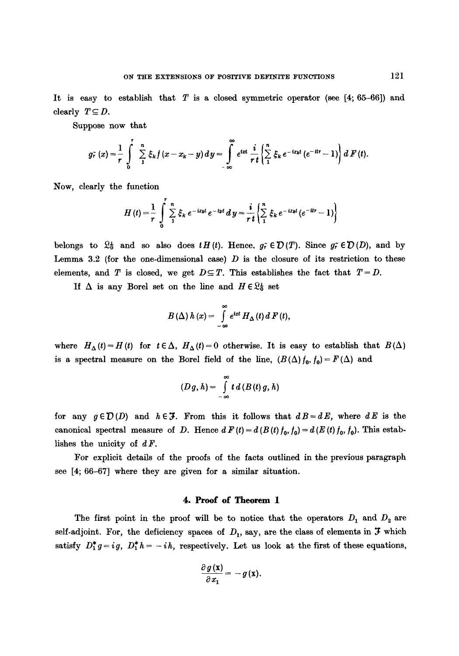It is easy to establish that  $T$  is a closed symmetric operator (see [4; 65–66]) and clearly  $T\subseteq D$ .

Suppose now that

$$
g_r^2(x) = \frac{1}{r} \int_0^r \sum_{1}^n \xi_k f(x - x_k - y) dy = \int_{-\infty}^{\infty} e^{ixt} \frac{i}{r t} \left\{ \sum_{1}^n \xi_k e^{-ixt} (e^{-itr} - 1) \right\} dF(t).
$$

Now, clearly the function

$$
H(t) = \frac{1}{r} \int_{0}^{t} \sum_{1}^{n} \xi_k e^{-ixkt} e^{-iyt} dy = \frac{i}{r t} \left\{ \sum_{1}^{n} \xi_k e^{-ixkt} (e^{-itr} - 1) \right\}
$$

belongs to  $\mathcal{Q}_0^+$  and so also does  $tH(t)$ . Hence,  $g_t^+ \in \mathcal{D}(T)$ . Since  $g_t^- \in \mathcal{D}(D)$ , and by Lemma 3.2 (for the one-dimensional case)  $D$  is the closure of its restriction to these elements, and *T* is closed, we get  $D \subseteq T$ . This establishes the fact that  $T = D$ .

If  $\Delta$  is any Borel set on the line and  $H \in \mathbb{Q}_0^+$  set

$$
B(\Delta) h(x) = \int_{-\infty}^{\infty} e^{ixt} H_{\Delta}(t) dF(t),
$$

where  $H_{\Delta}(t) = H(t)$  for  $t \in \Delta$ ,  $H_{\Delta}(t) = 0$  otherwise. It is easy to establish that  $B(\Delta)$ is a spectral measure on the Borel field of the line,  $(B(\Delta) f_0, f_0) = F(\Delta)$  and

$$
(D g, h) = \int_{-\infty}^{\infty} t \, d (B(t) g, h)
$$

for any  $g \in \mathcal{D}(D)$  and  $h \in \mathcal{F}$ . From this it follows that  $dB=dE$ , where  $dE$  is the canonical spectral measure of D. Hence  $d F(t) = d (B(t) f_0, f_0) = d (E(t) f_0, f_0)$ . This establishes the unicity of  $dF$ .

For explicit details of the proofs of the facts outlined in the previous paragraph see [4; 66-67] where they are given for a similar situation.

## **4. Proof of Theorem 1**

The first point in the proof will be to notice that the operators  $D_1$  and  $D_2$  are self-adjoint. For, the deficiency spaces of  $D_1$ , say, are the class of elements in  $\mathcal F$  which satisfy  $D_1^* g = ig, D_1^* h = -ih$ , respectively. Let us look at the first of these equations,

$$
\frac{\partial g(\mathbf{x})}{\partial x_1} = -g(\mathbf{x}).
$$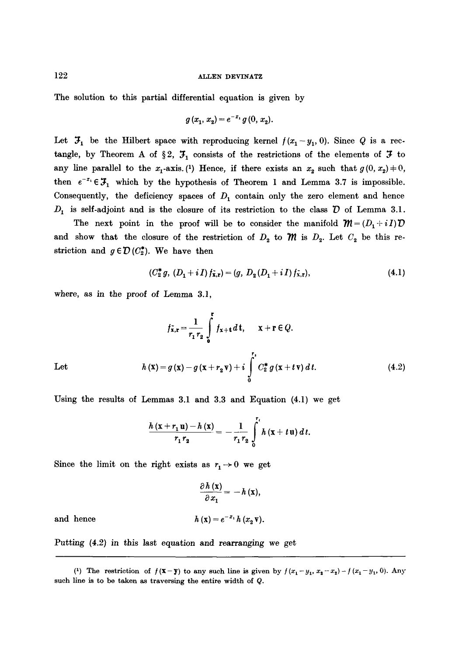The solution to this partial differential equation is given by

$$
g(x_1, x_2) = e^{-x_1} g(0, x_2).
$$

Let  $\mathcal{F}_1$  be the Hilbert space with reproducing kernel  $f(x_1-y_1, 0)$ . Since Q is a rectangle, by Theorem A of §2,  $\mathcal{F}_1$  consists of the restrictions of the elements of  $\mathcal F$  to any line parallel to the  $x_1$ -axis. (1) Hence, if there exists an  $x_2$  such that  $g(0, x_2) \neq 0$ , then  $e^{-x_1} \in \mathcal{F}_1$  which by the hypothesis of Theorem 1 and Lemma 3.7 is impossible. Consequently, the deficiency spaces of  $D_1$  contain only the zero element and hence  $D_1$  is self-adjoint and is the closure of its restriction to the class  $D$  of Lemma 3.1.

The next point in the proof will be to consider the manifold  $\mathcal{M} = (D_1 + iI)\mathcal{D}$ and show that the closure of the restriction of  $D_2$  to  $m$  is  $D_2$ . Let  $C_2$  be this restriction and  $g \in \mathcal{D}(C_2^*)$ . We have then

$$
(C_2^* g, (D_1 + i I) f_{\bar{x},r}) = (g, D_2 (D_1 + i I) f_{\bar{x},r}),
$$
\n(4.1)

where, as in the proof of Lemma 3.1,

$$
f_{\mathbf{x},\mathbf{r}} = \frac{1}{r_1 r_2} \int_{0}^{\mathbf{r}} f_{\mathbf{x}+\mathbf{t}} d\mathbf{t}, \quad \mathbf{x} + \mathbf{r} \in Q.
$$
  
Let 
$$
h(\mathbf{x}) = g(\mathbf{x}) - g(\mathbf{x} + r_2 \mathbf{v}) + i \int_{0}^{r_1} C_2^* g(\mathbf{x} + t \mathbf{v}) dt.
$$
 (4.2)

Using the results of Lemmas 3.1 and 3.3 and Equation (4.1) we get

$$
\frac{h(x+r_1u)-h(x)}{r_1r_2}=-\frac{1}{r_1r_2}\int_{0}^{r_1}h(x+tu)\,dt.
$$

Since the limit on the right exists as  $r_1 \rightarrow 0$  we get

and hence

$$
\frac{\partial h(\mathbf{x})}{\partial x_1} = -h(\mathbf{x}),
$$
  

$$
h(\mathbf{x}) = e^{-x_1} h(x_2 \mathbf{v})
$$

Putting (4.2) in this last equation and rearranging we get

<sup>(1)</sup> The restriction of  $f(\mathbf{x} - \mathbf{y})$  to any such line is given by  $f(x_1 - y_1, x_2 - x_2) - f(x_1 - y_1, 0)$ . Any such line is to be taken as traversing the entire width of Q.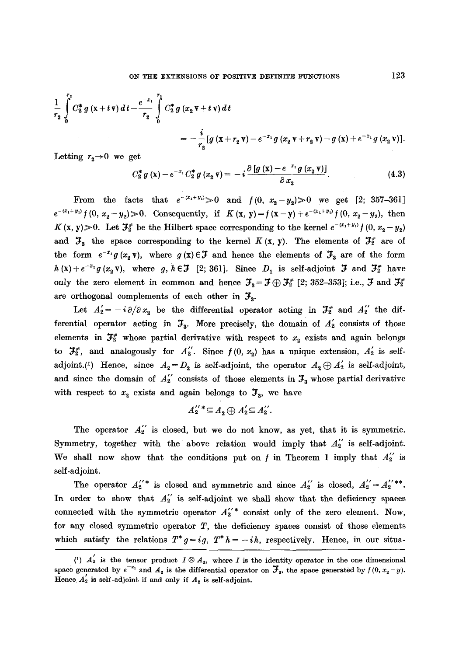$$
\frac{1}{r_2} \int_{0}^{r_2} C_2^* g(x+t\mathbf{v}) dt - \frac{e^{-x_1}}{r_2} \int_{0}^{r_2} C_2^* g(x_2 \mathbf{v}+t\mathbf{v}) dt
$$
  
= 
$$
-\frac{i}{r_2} [g(x+r_2 \mathbf{v}) - e^{-x_1} g(x_2 \mathbf{v}+r_2 \mathbf{v}) - g(x) + e^{-x_1} g(x_2 \mathbf{v})].
$$

Letting  $r_2 \rightarrow 0$  we get

$$
C_2^* g(x) - e^{-x_1} C_2^* g(x_2 \mathbf{v}) = -i \frac{\partial [g(x) - e^{-x_1} g(x_2 \mathbf{v})]}{\partial x_2}.
$$
 (4.3)

From the facts that  $e^{-(x_1+y_1)} > 0$  and  $f(0, x_2-y_2) > 0$  we get [2; 357-361]  $e^{-(x_1+y_1)}f(0, x_2-y_2)\geq 0$ . Consequently, if  $K(x, y)=f(x-y)+e^{-(x_1+y_1)}f(0, x_2-y_2)$ , then K (x, y) > 0. Let  $\mathcal{F}_2^*$  be the Hilbert space corresponding to the kernel  $e^{-(x_1+y_1)}f(0, x_2-y_2)$ and  $\mathfrak{F}_3$  the space corresponding to the kernel K (x, y). The elements of  $\mathfrak{F}_2^*$  are of the form  $e^{-x_1}g(x_2\mathbf{v})$ , where  $g(\mathbf{x})\in\mathcal{F}$  and hence the elements of  $\mathcal{F}_3$  are of the form  $h(\mathbf{x})+e^{-x_1}g(x_2\mathbf{v}),$  where g,  $h\in\mathcal{F}$  [2; 361]. Since  $D_1$  is self-adjoint  $\mathcal{F}$  and  $\mathcal{F}^*_2$  have only the zero element in common and hence  $\mathcal{F}_3 = \mathcal{F} \oplus \mathcal{F}_2^*$  [2; 352-353]; i.e.,  $\mathcal{F}$  and  $\mathcal{F}_2^*$ are orthogonal complements of each other in  $\mathcal{F}_3$ .

Let  $A'_2 = -i\partial/\partial x_2$  be the differential operator acting in  $\mathcal{F}_2^*$  and  $A''_2$  the differential operator acting in  $\mathcal{F}_3$ . More precisely, the domain of  $A'_2$  consists of those elements in  $\mathcal{F}_{\bar{x}}^*$  whose partial derivative with respect to  $x_2$  exists and again belongs to  $\mathcal{F}_{2}^{*}$ , and analogously for  $A_{2}^{'}$ . Since  $f(0, x_{s})$  has a unique extension,  $A_{2}^{'}$  is selfadjoint.<sup>(1)</sup> Hence, since  $A_2 = D_2$  is self-adjoint, the operator  $A_2 \oplus A_2'$  is self-adjoint, and since the domain of  $A_2^{\prime\prime}$  consists of those elements in  $\mathcal{F}_3$  whose partial derivative with respect to  $x_2$  exists and again belongs to  $\mathcal{F}_3$ , we have

$$
A_2^{''*} \subseteq A_2 \oplus A_2^{'} \subseteq A_2^{''}.
$$

The operator  $A_2^{''}$  is closed, but we do not know, as yet, that it is symmetric. Symmetry, together with the above relation would imply that  $A_2'$  is self-adjoint. We shall now show that the conditions put on  $f$  in Theorem 1 imply that  $A_2^{''}$  is self-adjoint.

The operator  $A_2^{''*}$  is closed and symmetric and since  $A_2^{''}$  is closed,  $A_2^{''}=A_2^{''**}$ . In order to show that  $A_2''$  is self-adjoint we shall show that the deficiency spaces connected with the symmetric operator  $A_{2}^{\'\prime\,*}$  consist only of the zero element. Now, for any closed symmetric operator  $T$ , the deficiency spaces consist of those elements which satisfy the relations  $T^*g=ig$ ,  $T^*h=-ih$ , respectively. Hence, in our situa-

<sup>(1)</sup>  $A_2$  is the tensor product  $I \otimes A_2$ , where I is the identity operator in the one dimensional space generated by  $e^{-x_1}$  and  $A_2$  is the differential operator on  $\mathcal{F}_3$ , the space generated by  $f(0, x_2 - y)$ . Hence  $A'_2$  is self-adjoint if and only if  $A_2$  is self-adjoint.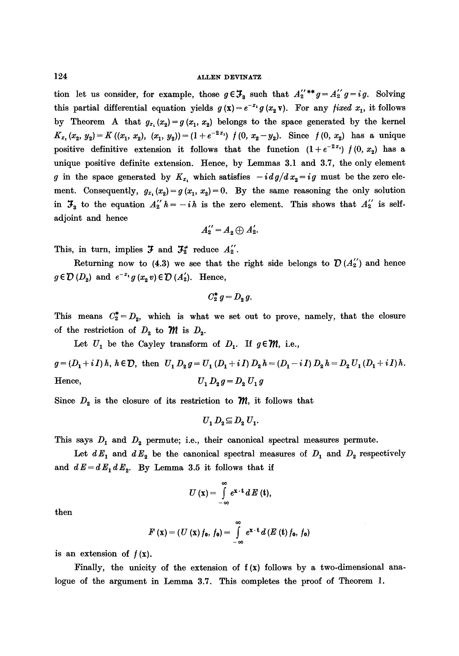tion let us consider, for example, those  $g \in \mathcal{F}_3$  such that  $A_2^{''**}g = A_2^{'''}g = ig$ . Solving this partial differential equation yields  $g(\mathbf{x}) = e^{-x_1} g(x_2 \mathbf{v})$ . For any *fixed*  $x_1$ , it follows by Theorem A that  $g_{x_1}(x_2)=g(x_1, x_2)$  belongs to the space generated by the kernel  $K_{x_1}(x_2, y_2)=K(x_1, x_2), (x_1, y_2)=(1+e^{-2x_1}) f(0, x_2-y_2).$  Since  $f(0, x_2)$  has a unique positive definitive extension it follows that the function  $(1+e^{-2x_1}) f(0, x_2)$  has a unique positive definite extension. Hence, by Lemmas 3.1 and 3.7, the only element g in the space generated by  $K_{x_1}$  which satisfies  $-i dg/d x_2 = ig$  must be the zero element. Consequently,  $g_{x_1}(x_2)=g(x_1, x_2)=0$ . By the same reasoning the only solution in  $\mathcal{F}_3$  to the equation  $A_2'' h = -i h$  is the zero element. This shows that  $A_2''$  is selfadjoint and hence

$$
A_2''=A_2\bigoplus A_2'.
$$

This, in turn, implies  $\mathfrak{F}$  and  $\mathfrak{F}_{2}^{*}$  reduce  $A_{2}'$ .

Returning now to (4.3) we see that the right side belongs to  $\mathcal{D}(A_2'')$  and hence  $g \in \mathcal{D}(D_2)$  and  $e^{-x_1}g(x_2 v) \in \mathcal{D}(A'_2)$ . Hence,

$$
C_2^* g = D_2 g.
$$

This means  $C_2^* = D_2$ , which is what we set out to prove, namely, that the closure of the restriction of  $D_2$  to  $\mathcal{M}$  is  $D_2$ .

Let  $U_1$  be the Cayley transform of  $D_1$ . If  $g \in M$ , i.e.,

 $g = (D_1 + i I) h$ ,  $h \in \mathcal{D}$ , then  $U_1 D_2 g = U_1 (D_1 + i I) D_2 h = (D_1 - i I) D_2 h = D_2 U_1 (D_1 + i I) h$ . Hence,  $U_1 D_2 g = D_2 U_1 g$ 

Since  $D_2$  is the closure of its restriction to  $\mathcal{M}$ , it follows that

$$
U_1 D_2 \subseteq D_2 U_1.
$$

This says  $D_1$  and  $D_2$  permute; i.e., their canonical spectral measures permute.

Let  $dE_1$  and  $dE_2$  be the canonical spectral measures of  $D_1$  and  $D_2$  respectively and  $dE = dE_1 dE_2$ . By Lemma 3.5 it follows that if

$$
U\left(\mathbf{x}\right)=\int\limits_{-\infty}^{\infty}e^{\mathbf{x}\cdot\mathbf{t}}\,d\,E\left(\mathbf{t}\right),\,
$$

then

$$
F(\mathbf{x})=(U(\mathbf{x})f_0, f_0)=\int\limits_{-\infty}^{\infty}e^{\mathbf{x}\cdot\mathbf{t}}d(E(\mathbf{t})f_0, f_0)
$$

is an extension of  $f(x)$ .

Finally, the unicity of the extension of  $f(x)$  follows by a two-dimensional analogue of the argument in Lemma 3.7. This completes the proof of Theorem 1.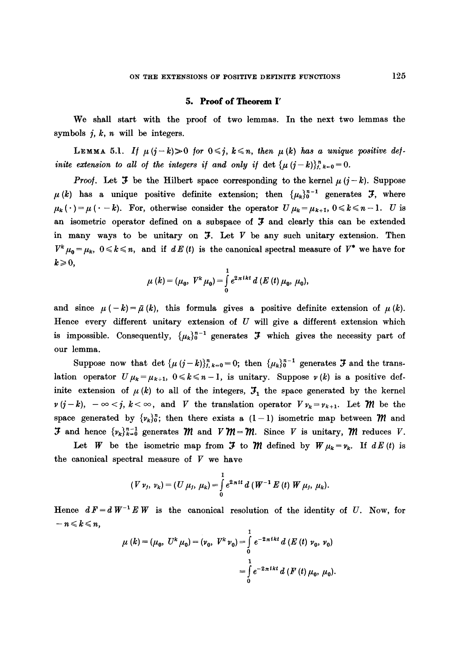#### **5. Proof of Theorem I'**

We shall start with the proof of two lemmas. In the next two lemmas the symbols  $j, k, n$  will be integers.

LEMMA 5.1. *If*  $\mu(j-k) > 0$  for  $0 \le j$ ,  $k \le n$ , then  $\mu(k)$  has a unique positive def*inite extension to all of the integers if and only if det*  $\{\mu(j-k)\}_{j,k=0}^{n} = 0$ .

*Proof.* Let **3** be the Hilbert space corresponding to the kernel  $\mu$  ( $j - k$ ). Suppose  $\mu(k)$  has a unique positive definite extension; then  $\{\mu_k\}_0^{n-1}$  generates  $\mathcal{F}$ , where  $\mu_k (\cdot) = \mu (\cdot - k)$ . For, otherwise consider the operator  $U \mu_k = \mu_{k+1}$ ,  $0 \le k \le n-1$ . U is an isometric operator defined on a subspace of  $\mathfrak F$  and clearly this can be extended in many ways to be unitary on  $\mathfrak{I}$ . Let  $V$  be any such unitary extension. Then  $V^k \mu_0 = \mu_k$ ,  $0 \le k \le n$ , and if  $dE(t)$  is the canonical spectral measure of  $V^*$  we have for  $k \geqslant 0$ ,

$$
\mu(k) = (\mu_0, V^k \mu_0) = \int_0^1 e^{2\pi i k t} d(E(t) \mu_0, \mu_0),
$$

and since  $\mu$  (-k) =  $\bar{\mu}$  (k), this formula gives a positive definite extension of  $\mu$  (k). Hence every different unitary extension of  $U$  will give a different extension which is impossible. Consequently,  $\{\mu_k\}_0^{n-1}$  generates  $\mathfrak F$  which gives the necessity part of our lemma.

Suppose now that det  $\{\mu (j-k)\}_{j,k=0}^n = 0$ ; then  $\{\mu_k\}_0^{n-1}$  generates **3** and the translation operator  $U\mu_k=\mu_{k+1}$ ,  $0\leq k\leq n-1$ , is unitary. Suppose  $\nu(k)$  is a positive definite extension of  $\mu(k)$  to all of the integers,  $\mathfrak{I}_1$  the space generated by the kernel  $\nu(j-k)$ ,  $-\infty < j$ ,  $k < \infty$ , and V the translation operator  $V \nu_k = \nu_{k+1}$ . Let M be the space generated by  $\{v_k\}_0^n$ ; then there exists a  $(1-1)$  isometric map between  $m$  and **3** and hence  $\{v_k\}_{k=0}^{n-1}$  generates *M* and  $V$ *M* = *M*. Since V is unitary, *M* reduces V.

Let W be the isometric map from  $\mathfrak F$  to  $\mathfrak M$  defined by  $W \mu_k = \nu_k$ . If  $dE(t)$  is the canonical spectral measure of  $V$  we have

$$
(V \nu_j, \nu_k) = (U \mu_j, \mu_k) = \int_0^1 e^{2\pi i t} d(W^{-1} E(t) W \mu_j, \mu_k).
$$

Hence  $dF = dW^{-1} E W$  is the canonical resolution of the identity of U. Now, for  $-n \leqslant k \leqslant n$ ,

$$
\mu(k) = (\mu_0, U^k \mu_0) = (\nu_0, V^k \nu_0) = \int_0^1 e^{-2\pi i kt} d(E(t) \nu_0, \nu_0)
$$

$$
= \int_0^1 e^{-2\pi i kt} d(F(t) \mu_0, \mu_0).
$$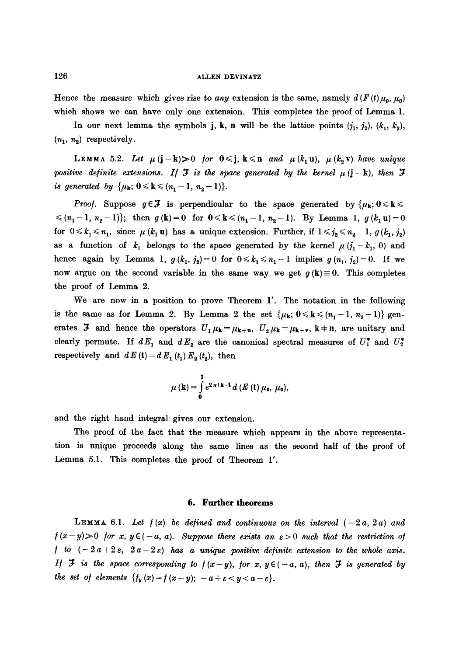#### 126 **allen den allen den allen den allen den allen den allen den allen den allen allen allen allen allen allen**

Hence the measure which gives rise to *any* extension is the same, namely  $d(F(t) \mu_0, \mu_0)$ which shows we can have only one extension. This completes the proof of Lemma 1.

In our next lemma the symbols j, k, n will be the lattice points  $(j_1, j_2)$ ,  $(k_1, k_2)$ ,  $(n_1, n_2)$  respectively.

LEMMA 5.2. Let  $\mu(j-k) > 0$  for  $0 \le j$ ,  $k \le n$  and  $\mu(k_1u)$ ,  $\mu(k_2v)$  have unique *positive definite extensions. If*  $\mathcal{F}$  *is the space generated by the kernel*  $\mu$  (j - k), *then*  $\mathcal{F}$ *is generated by*  $\{\mu_k; 0 \le k \le (n_1 - 1, n_2 - 1)\}.$ 

*Proof.* Suppose  $g \in \mathcal{F}$  is perpendicular to the space generated by  $\{\mu_k; 0 \leq k \leq \mathcal{F}\}$  $\{(n_1-1, n_2-1)\};$  then  $g(k)=0$  for  $0 \le k \le (n_1-1, n_2-1)$ . By Lemma 1,  $g(k_1u)=0$ for  $0 \leq k_1 \leq n_1$ , since  $\mu$  ( $k_1$ **u**) has a unique extension. Further, if  $1 \leq j_2 \leq n_2 - 1$ ,  $g$  ( $k_1$ ,  $j_2$ ) as a function of  $k_1$  belongs to the space generated by the kernel  $\mu$  ( $j_1 - k_1$ , 0) and hence again by Lemma 1,  $g(k_1, j_2) = 0$  for  $0 \le k_1 \le n_1 - 1$  implies  $g(n_1, j_2) = 0$ . If we now argue on the second variable in the same way we get  $g(k) \equiv 0$ . This completes the proof of Lemma 2.

We are now in a position to prove Theorem 1'. The notation in the following is the same as for Lemma 2. By Lemma 2 the set  $\{\mu_k; 0 \leq k \leq (n_1-1, n_2-1)\}$  generates  $\mathfrak F$  and hence the operators  $U_1\mu_{\mathbf k}=\mu_{\mathbf k+u}$ ,  $U_2\mu_{\mathbf k}=\mu_{\mathbf k+v}$ ,  $\mathbf k+\mathbf n$ , are unitary and clearly permute. If  $dE_1$  and  $dE_2$  are the canonical spectral measures of  $U_1^*$  and  $U_2^*$ respectively and  $dE(t) = dE_1(t_1) E_2(t_2)$ , then

$$
\mu(\mathbf{k})=\int_{0}^{1}e^{2\pi i\mathbf{k}\cdot\mathbf{t}}d\left(E\left(\mathbf{t}\right)\mu_{0},\,\mu_{0}\right),
$$

and the right hand integral gives our extension.

The proof of the fact that the measure which appears in the above representation is unique proceeds along the same lines as the second half of the proof of Lemma 5.1. This completes the proof of Theorem 1'.

#### **6. Further theorems**

LEMMA 6.1. Let  $f(x)$  be defined and continuous on the interval  $(-2a, 2a)$  and  $f(x-y) > 0$  *for x, y*  $\epsilon(-a, a)$ . Suppose there exists an  $\epsilon > 0$  such that the restriction of  $\int$  to  $(-2a+2\varepsilon, 2a-2\varepsilon)$  has a unique positive definite extension to the whole axis. *If I is the space corresponding to*  $f(x-y)$ *, for*  $x, y \in (-a, a)$ *, then <i>I* is generated by *the set of elements*  $\{f_y(x) = f(x-y); -a + \varepsilon < y < a - \varepsilon\}.$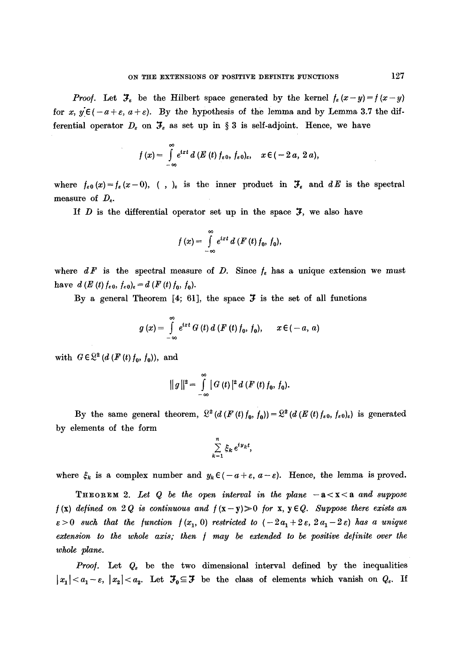*Proof.* Let  $\mathcal{F}_{\varepsilon}$  be the Hilbert space generated by the kernel  $f_{\varepsilon} (x-y) = f(x-y)$ for x,  $y \in (-a + \varepsilon, a + \varepsilon)$ . By the hypothesis of the lemma and by Lemma 3.7 the differential operator  $D_{\varepsilon}$  on  $\mathfrak{F}_{\varepsilon}$  as set up in § 3 is self-adjoint. Hence, we have

$$
f(x)=\int\limits_{-\infty}^{\infty}e^{ixt}\,d\left(E\left(t\right)f_{\varepsilon 0},\,f_{\varepsilon 0}\right)_{\varepsilon},\quad x\in(-2\,a,\,2\,a),
$$

where  $f_{\varepsilon,0}(x)=f_{\varepsilon}(x-0),$  (, )<sub> $\varepsilon$ </sub> is the inner product in  $\mathcal{F}_{\varepsilon}$  and  $dE$  is the spectral measure of  $D_{\varepsilon}$ .

If  $D$  is the differential operator set up in the space  $J$ , we also have

$$
f(x) = \int_{-\infty}^{\infty} e^{ixt} d(F(t) f_0, f_0),
$$

where  $dF$  is the spectral measure of D. Since  $f_e$  has a unique extension we must have  $d(E(t) f_{\epsilon 0}, f_{\epsilon 0})_{\epsilon} = d(F(t) f_0, f_0).$ 

By a general Theorem [4; 61], the space  $\mathfrak F$  is the set of all functions

$$
g(x) = \int_{-\infty}^{\infty} e^{ixt} G(t) d(F(t) f_0, f_0), \quad x \in (-a, a)
$$

with  $G \in \mathbb{R}^2$  (d (F (t)  $f_0$ ,  $f_0$ )), and

$$
|| g ||2 = \int_{-\infty}^{\infty} | G(t) |2 d (F(t) f0, f0).
$$

By the same general theorem,  $\mathbb{R}^2$  (d (F (t)  $f_0$ ,  $f_0$ )) =  $\mathbb{R}^2$  (d (E (t)  $f_{\epsilon 0}$ ,  $f_{\epsilon 0}$ )<sub>e</sub>) is generated by elements of the form

$$
\sum_{k=1}^n \xi_k e^{iy_kt},
$$

where  $\xi_k$  is a complex number and  $y_k \in (-a + \varepsilon, a - \varepsilon)$ . Hence, the lemma is proved.

**THEOREM** 2. Let  $Q$  be the open interval in the plane  $-a < x < a$  and suppose  $f(x)$  defined on 2Q is continuous and  $f(x-y) > 0$  for  $x, y \in Q$ . Suppose there exists an  $\varepsilon > 0$  such that the function  $f(x_1, 0)$  restricted to  $(-2a_1 + 2\varepsilon, 2a_1 - 2\varepsilon)$  has a unique *extension to the whole axis; then~ ] may be extended to be positive definite over the whole plane.* 

*Proof.* Let  $Q_{\epsilon}$  be the two dimensional interval defined by the inequalities  $|x_1| < a_1 - \varepsilon$ ,  $|x_2| < a_2$ . Let  $\mathcal{F}_0 \subseteq \mathcal{F}$  be the class of elements which vanish on  $Q_{\varepsilon}$ . If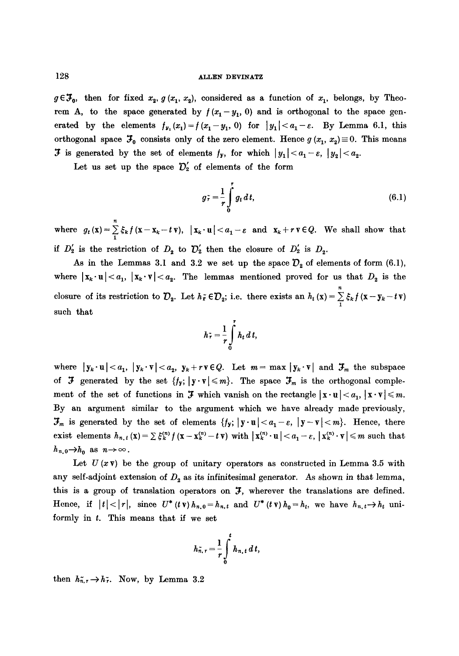$g \in \mathcal{F}_0$ , then for fixed  $x_2, g(x_1, x_2)$ , considered as a function of  $x_1$ , belongs, by Theorem A, to the space generated by  $f(x_1 - y_1, 0)$  and is orthogonal to the space generated by the elements  $f_{y_1}(x_1) = f (x_1 - y_1, 0)$  for  $|y_1| < a_1 - \varepsilon$ . By Lemma 6.1, this orthogonal space  $\mathcal{F}_0$  consists only of the zero element. Hence  $g(x_1, x_2) \equiv 0$ . This means **3** is generated by the set of elements  $f_y$ , for which  $|y_1| < a_1 - \varepsilon$ ,  $|y_2| < a_2$ .

Let us set up the space  $\mathcal{D}'_2$  of elements of the form

$$
g_{\tau} = \frac{1}{r} \int_{0}^{r} g_t dt, \qquad (6.1)
$$

where  $g_t(\mathbf{x}) = \sum_{i} \xi_k f(\mathbf{x}-\mathbf{x}_k-t\mathbf{v}), \ |\mathbf{x}_k\cdot\mathbf{u}| < a_1-\varepsilon$  and  $\mathbf{x}_k+r\mathbf{v} \in Q$ . We shall show that if  $D'_2$  is the restriction of  $D_2$  to  $D'_2$  then the closure of  $D'_2$  is  $D_2$ .

As in the Lemmas 3.1 and 3.2 we set up the space  $D_2$  of elements of form (6.1), where  $|x_k \cdot u| < a_1$ ,  $|x_k \cdot v| < a_2$ . The lemmas mentioned proved for us that  $D_2$  is the closure of its restriction to  $\mathcal{D}_2$ . Let  $h_f \in \mathcal{D}_2$ ; i.e. there exists an  $h_t(x) = \sum_{i=1}^{n} \xi_k f(x - y_k - t)$ such that

$$
h_{\tau} = \frac{1}{r} \int\limits_0^r h_t \, dt,
$$

where  $|y_k \cdot u| < a_1, |y_k \cdot v| < a_2, y_k + r v \in Q$ . Let  $m = \max |y_k \cdot v|$  and  $\mathcal{F}_m$  the subspace of  $\mathfrak F$  generated by the set  $\{f_{\mathbf y};~|\mathbf y\cdot\mathbf v|\leqslant m\}$ . The space  $\mathfrak F_m$  is the orthogonal complement of the set of functions in  $\mathcal F$  which vanish on the rectangle  $|\mathbf x \cdot \mathbf u| < a_1$ ,  $|\mathbf x \cdot \mathbf v| \leq m$ . By an argument similar to the argument which we have already made previously,  $\mathcal{F}_m$  is generated by the set of elements  $\{f_y; |y\cdot u| < a_1 - \varepsilon, |y-v| < m\}$ . Hence, there exist elements  $h_{n,t}(\mathbf{x}) = \sum \xi_k^{(n)} f(\mathbf{x} - \mathbf{x}_k^{(n)} - t \mathbf{v})$  with  $|\mathbf{x}_k^{(n)} \cdot \mathbf{u}| < a_1 - \varepsilon$ ,  $|\mathbf{x}_k^{(n)} \cdot \mathbf{v}| \leq m$  such that  $h_{n,0} \rightarrow h_0$  as  $n \rightarrow \infty$ .

Let  $U(x\mathbf{v})$  be the group of unitary operators as constructed in Lemma 3.5 with any self-adjoint extension of  $D_2$  as its infinitesimal generator. As shown in that lemma, this is a group of translation operators on  $\mathfrak{I}$ , wherever the translations are defined. Hence, if  $|t| < |r|$ , since  $U^*(t \mathbf{v}) h_{n,0} = h_{n,t}$  and  $U^*(t \mathbf{v}) h_0 = h_t$ , we have  $h_{n,t} \to h_t$  uniformly in  $t$ . This means that if we set

$$
h_{n,r}^{\sim}=\frac{1}{r}\int\limits_{0}^{t}h_{n,t}\,d\,t,
$$

then  $h_{n,r}^* \to h_r^*$ . Now, by Lemma 3.2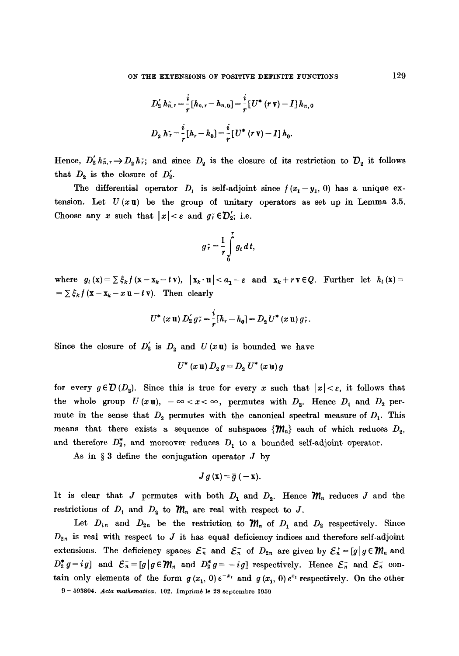$$
D'_{2} h_{n,r} = \frac{i}{r} [h_{n,r} - h_{n,0}] = \frac{i}{r} [U^* (r \mathbf{v}) - I] h_{n,0}
$$
  

$$
D_{2} h_{r} = \frac{i}{r} [h_{r} - h_{0}] = \frac{i}{r} [U^* (r \mathbf{v}) - I] h_{0}.
$$

Hence,  $D'_2 h_{\tilde{n},r} \to D_2 h_{\tilde{r}}$ ; and since  $D_2$  is the closure of its restriction to  $D_2$  it follows that  $D_2$  is the closure of  $D_2'$ .

The differential operator  $D_1$  is self-adjoint since  $f(x_1 - y_1, 0)$  has a unique extension. Let  $U(xu)$  be the group of unitary operators as set up in Lemma 3.5. Choose any x such that  $|x| < \varepsilon$  and  $g_r \in \mathcal{D}'_2$ ; i.e.

$$
g\,\tilde{r}=\frac{1}{r}\int\limits_{0}^{r}g_t\,dt,
$$

where  $g_t(x)=\sum \xi_k f(x-x_k-t\mathbf{v}), |x_k\cdot \mathbf{u}| and  $x_k+r\mathbf{v}\in Q$ . Further let  $h_t(x)=$$  $= \sum \xi_k f(x - x_k - x \mathbf{u} - t \mathbf{v}).$  Then clearly

$$
U^*(x \mathbf{u}) D_2' g_{\tau}^* = \frac{i}{r} [h_r - h_0] = D_2 U^*(x \mathbf{u}) g_{\tau}^*.
$$

Since the closure of  $D'_2$  is  $D_2$  and  $U(xu)$  is bounded we have

$$
U^*(x \mathbf{u}) D_2 g = D_2 U^*(x \mathbf{u}) g
$$

for every  $g \in \mathcal{D}(D_2)$ . Since this is true for every x such that  $|x| < \varepsilon$ , it follows that the whole group  $U(xu)$ ,  $-\infty < x < \infty$ , permutes with  $D_2$ . Hence  $D_1$  and  $D_2$  permute in the sense that  $D_2$  permutes with the canonical spectral measure of  $D_1$ . This means that there exists a sequence of subspaces  $\{M_n\}$  each of which reduces  $D_2$ , and therefore  $D_2^*$ , and moreover reduces  $D_1$  to a bounded self-adjoint operator.

As in  $\S 3$  define the conjugation operator  $J$  by

$$
J g(x) = \overline{g}(-x).
$$

It is clear that J permutes with both  $D_1$  and  $D_2$ . Hence  $\mathcal{M}_n$  reduces J and the restrictions of  $D_1$  and  $D_2$  to  $\mathcal{M}_n$  are real with respect to J.

Let  $D_{1n}$  and  $D_{2n}$  be the restriction to  $\mathcal{M}_n$  of  $D_1$  and  $D_2$  respectively. Since  $D_{2n}$  is real with respect to J it has equal deficiency indices and therefore self-adjoint extensions. The deficiency spaces  $\mathcal{E}_n^+$  and  $\mathcal{E}_n^-$  of  $D_{2n}$  are given by  $\mathcal{E}_n^+ = [g \mid g \in \mathcal{W}_n$  and  $D_2^* g = ig$  and  $\mathcal{E}_n = [g \mid g \in \mathcal{W}_n$  and  $D_2^* g = -ig$  respectively. Hence  $\mathcal{E}_n^+$  and  $\mathcal{E}_n^-$  contain only elements of the form  $g(x_1, 0)e^{-x_1}$  and  $g(x_1, 0)e^{x_1}$  respectively. On the other

<sup>9 - 593804.</sup> *Acta mathematica.* 102. Imprimé le 28 septembre 1959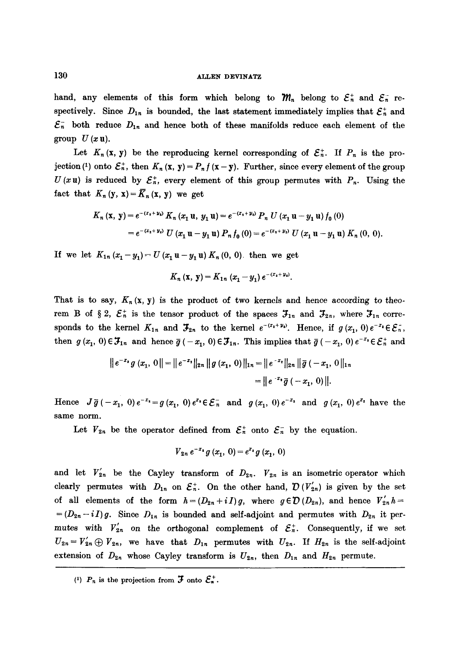hand, any elements of this form which belong to  $\mathcal{W}_n$  belong to  $\mathcal{E}_n^+$  and  $\mathcal{E}_n^-$  respectively. Since  $D_{1n}$  is bounded, the last statement immediately implies that  $\mathcal{E}_n^+$  and  $\mathcal{E}_n^-$  both reduce  $D_{1n}$  and hence both of these manifolds reduce each element of the group  $U(x u)$ .

Let  $K_n(x, y)$  be the reproducing kernel corresponding of  $\mathcal{E}_n^*$ . If  $P_n$  is the projection (<sup>1</sup>) onto  $\mathcal{E}_n^+$ , then  $K_n$  (**x**, **y**) =  $P_n f$  (**x** - **y**). Further, since every element of the group  $U(xu)$  is reduced by  $\mathcal{E}_n^*$ , every element of this group permutes with  $P_n$ . Using the fact that  $K_n(y, x) = \overline{K}_n(x, y)$  we get

$$
K_n(\mathbf{x}, \mathbf{y}) = e^{-(x_1 + y_1)} K_n(x_1 \mathbf{u}, y_1 \mathbf{u}) = e^{-(x_1 + y_1)} P_n U(x_1 \mathbf{u} - y_1 \mathbf{u}) f_0(0)
$$
  
=  $e^{-(x_1 + y_1)} U(x_1 \mathbf{u} - y_1 \mathbf{u}) P_n f_0(0) = e^{-(x_1 + y_1)} U(x_1 \mathbf{u} - y_1 \mathbf{u}) K_n(0, 0).$ 

If we let  $K_{1n} (x_1 - y_1) = U (x_1 u - y_1 u) K_n (0, 0)$  then we get

$$
K_n(x, y) = K_{1n} (x_1 - y_1) e^{-(x_2 + y_2)}.
$$

That is to say,  $K_n(x, y)$  is the product of two kernels and hence according to theorem B of § 2,  $\mathcal{E}_n^+$  is the tensor product of the spaces  $\mathcal{F}_{1n}$  and  $\mathcal{F}_{2n}$ , where  $\mathcal{F}_{1n}$  corresponds to the kernel  $K_{1n}$  and  $\mathcal{F}_{2n}$  to the kernel  $e^{-(x_1+y_1)}$ . Hence, if  $g(x_1, 0)e^{-x_1} \in \mathcal{E}_n^*$ , then  $g (x_1, 0) \in \mathcal{F}_{1n}$  and hence  $\bar{g}(-x_1, 0) \in \mathcal{F}_{1n}$ . This implies that  $\bar{g}(-x_1, 0) e^{-x_1} \in \mathcal{E}_n^+$  and

$$
\|e^{-x_1}g(x_1, 0\| = \|e^{-x_1}\|_{2n} \|g(x_1, 0)\|_{2n} = \|e^{-x_1}\|_{2n} \|\overline{g}(-x_1, 0)\|_{2n}
$$

$$
= \|e^{-x_1}\overline{g}(-x_1, 0)\|.
$$

Hence  $J\bar{g}(-x_1, 0)e^{-x_1}=g(x_1, 0)e^{x_1}\in \mathcal{E}_n^-$  and  $g(x_1, 0)e^{-x_1}$  and  $g(x_1, 0)e^{x_1}$  have the same norm.

Let  $V_{2n}$  be the operator defined from  $\mathcal{E}_n^+$  onto  $\mathcal{E}_n^-$  by the equation.

$$
V_{2n} e^{-x_1} g(x_1, 0) = e^{x_1} g(x_1, 0)
$$

and let  $V'_{2n}$  be the Cayley transform of  $D_{2n}$ .  $V_{2n}$  is an isometric operator which clearly permutes with  $D_{1n}$  on  $\mathcal{E}_n^+$ . On the other hand,  $\mathcal{D}(V'_{2n})$  is given by the set of all elements of the form  $h=(D_{2n}+iI)g$ , where  $g\in\mathcal{D}(D_{2n})$ , and hence  $V'_{2n}h=$  $=(D_{2n}-iI)g$ . Since  $D_{1n}$  is bounded and self-adjoint and permutes with  $D_{2n}$  it permutes with  $V'_{2n}$  on the orthogonal complement of  $\mathcal{E}_n^+$ . Consequently, if we set  $U_{2n} = V_{2n} \oplus V_{2n}$ , we have that  $D_{1n}$  permutes with  $U_{2n}$ . If  $H_{2n}$  is the self-adjoint extension of  $D_{2n}$  whose Cayley transform is  $U_{2n}$ , then  $D_{1n}$  and  $H_{2n}$  permute.

<sup>(1)</sup>  $P_n$  is the projection from  $\mathfrak F$  onto  $\mathfrak{S}_n^+$ .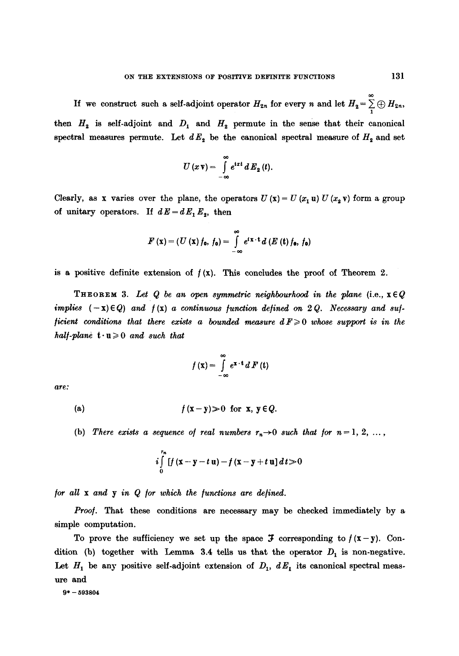If we construct such a self-adjoint operator  $H_{2n}$  for every n and let  $H_2 = \sum_{1}^{\infty} \bigoplus H_{2n}$ , then  $H_2$  is self-adjoint and  $D_1$  and  $H_2$  permute in the sense that their canonical spectral measures permute. Let  $dE_2$  be the canonical spectral measure of  $H_2$  and set

$$
U(x\,\mathbf{v})=\int\limits_{-\infty}^{\infty}e^{ixt}\,d\,E_2(t).
$$

Clearly, as x varies over the plane, the operators  $U(x) = U(x_1 u) U(x_2 v)$  form a group of unitary operators. If  $dE = dE_1E_2$ , then

$$
F(\mathbf{x})=(U(\mathbf{x})f_0, f_0)=\int\limits_{-\infty}^{\infty}e^{i\mathbf{x}\cdot\mathbf{t}}d(E(\mathbf{t})f_0, f_0)
$$

is a positive definite extension of  $f(x)$ . This concludes the proof of Theorem 2.

**THEOREM** 3. Let Q be an open symmetric neighbourhood in the plane (i.e.,  $x \in Q$ *implies*  $(-x) \in Q$  and  $f(x)$  a continuous function defined on 2 Q. Necessary and suf*ficient conditions that there exists a bounded measure*  $d F \geq 0$  *whose support is in the half-plane*  $t \cdot u \geqslant 0$  *and such that* 

$$
f(\mathbf{x}) = \int_{-\infty}^{\infty} e^{\mathbf{x} \cdot \mathbf{t}} dF(\mathbf{t})
$$

*are:* 

(a)  $f(x-y) \ge 0$  for x,  $y \in Q$ .

(b) There exists a sequence of real numbers  $r_n \rightarrow 0$  such that for  $n=1, 2, \ldots$ ,

$$
i\int_{0}^{r_n} [f(x-y-t u)-f(x-y+t u] dt\!\ge\!0
$$

*for all x and y in Q for which the /unctions are defined.* 

*Proo/.* That these conditions are necessary may be checked immediately by a simple computation.

To prove the sufficiency we set up the space  $\mathfrak F$  corresponding to  $f(x-y)$ . Condition (b) together with Lemma 3.4 tells us that the operator  $D_1$  is non-negative. Let  $H_1$  be any positive self-adjoint extension of  $D_1$ ,  $dE_1$  its canonical spectral measure and

 $9* - 593804$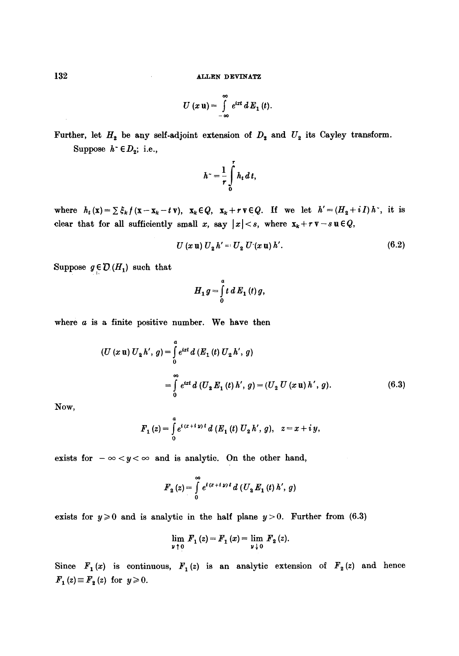$$
U(x\mathbf{u})=\int\limits_{-\infty}^{\infty}e^{ixt}\,dE_1(t).
$$

Further, let  $H_2$  be any self-adjoint extension of  $D_2$  and  $U_2$  its Cayley transform. Suppose  $h^{\sim} \in D_2$ ; i.e.,

$$
h^* = \frac{1}{r} \int\limits_0^r h_t \, dt,
$$

where  $h_t(x) = \sum \xi_k f(x-x_k-ty), x_k \in Q$ ,  $x_k+r \nu \in Q$ . If we let  $h' = (H_2+iI) h$ , it is clear that for all sufficiently small x, say  $|x| < s$ , where  $x_k + r v - s u \in Q$ ,

$$
U(x \mathbf{u}) U_2 h' = U_2 U'(x \mathbf{u}) h'.
$$
 (6.2)

Suppose  $g \in \mathcal{D}(H_1)$  such that

$$
H_1 g = \int\limits_0^a t\,dE_1(t)\,g,
$$

where  $a$  is a finite positive number. We have then

$$
(U (x \mathbf{u}) U_2 h', g) = \int_0^a e^{ixt} d(E_1(t) U_2 h', g)
$$
  
= 
$$
\int_0^\infty e^{ixt} d(U_2 E_1(t) h', g) = (U_2 U (x \mathbf{u}) h', g).
$$
 (6.3)

Now,

$$
F_1(z) = \int\limits_0^a e^{i(x+i y)t} d(F_1(t) U_2 h', g), \quad z = x + i y,
$$

exists for  $-\infty < y < \infty$  and is analytic. On the other hand,

$$
F_2(z) = \int_{0}^{\infty} e^{i(x+i\,y)\,t} \, d\left(U_2\,E_1\left(t\right)h',\,g\right)
$$

exists for  $y \ge 0$  and is analytic in the half plane  $y > 0$ . Further from (6.3)

$$
\lim_{y \downarrow 0} F_1(z) = F_1(x) = \lim_{y \downarrow 0} F_2(z).
$$

Since  $F_1(x)$  is continuous,  $F_1(z)$  is an analytic extension of  $F_2(z)$  and hence  $F_1(z) \equiv F_2(z)$  for  $y \ge 0$ .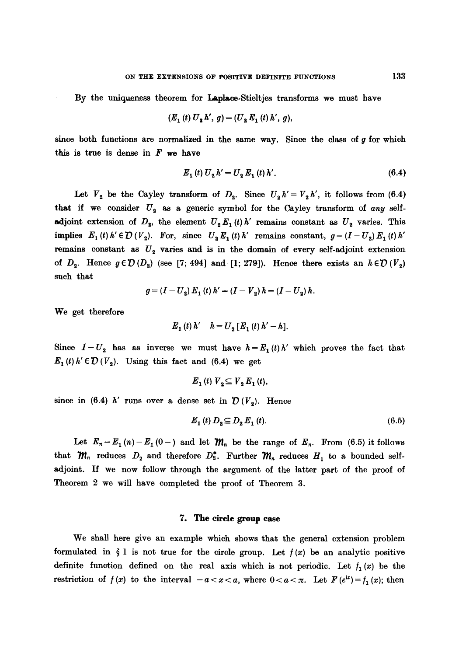By the uniqueness theorem for Laplace.Stieltjes transforms we must have

$$
(E_1(t) U_2 h', g) = (U_2 E_1(t) h', g),
$$

since both functions are normalized in the same way. Since the class of  $g$  for which this is true is dense in  $F$  we have

$$
E_1(t) U_2 h' = U_2 E_1(t) h'.
$$
 (6.4)

Let  $V_2$  be the Cayley transform of  $D_2$ . Since  $U_2 h' = V_2 h'$ , it follows from (6.4) that if we consider  $U_2$  as a generic symbol for the Cayley transform of *any* selfadjoint extension of  $D_2$ , the element  $U_2 E_1(t)h'$  remains constant as  $U_2$  varies. This implies  $E_1(t)h' \in \mathcal{D}(V_2)$ . For, since  $U_2E_1(t)h'$  remains constant,  $g=(I-U_2)E_1(t)h'$ remains constant as  $U_2$  varies and is in the domain of every self-adjoint extension of  $D_2$ . Hence  $g \in \mathcal{D}(D_2)$  (see [7; 494] and [1; 279]). Hence there exists an  $h \in \mathcal{D}(V_2)$ such that

$$
g = (I - U_2) E_1(t) h' = (I - V_2) h = (I - U_2) h.
$$

We get therefore

$$
E_1(t) h' - h = U_2 [E_1(t) h' - h].
$$

Since  $I-U_2$  has as inverse we must have  $h=E_1(t)h'$  which proves the fact that  $E_1(t) h' \in \mathcal{D}(V_2)$ . Using this fact and (6.4) we get

$$
E_1(t) V_2 \subseteq V_2 E_1(t),
$$

since in (6.4) h' runs over a dense set in  $\mathcal{D}(V_2)$ . Hence

$$
E_1(t) D_2 \subseteq D_2 E_1(t). \tag{6.5}
$$

Let  $E_n = E_1(n) - E_1(0-)$  and let  $\mathcal{M}_n$  be the range of  $E_n$ . From (6.5) it follows that  $\mathcal{M}_n$  reduces  $D_2$  and therefore  $D_2^*$ . Further  $\mathcal{M}_n$  reduces  $H_1$  to a bounded selfadjoint. If we now follow through the argument of the latter part of the proof of Theorem 2 we will have completed the proof of Theorem 3.

## 7. The circle group case

We shall here give an example which shows that the general extension problem formulated in  $\S$  1 is not true for the circle group. Let  $f(x)$  be an analytic positive definite function defined on the real axis which is not periodic. Let  $f_1(x)$  be the restriction of  $f(x)$  to the interval  $-a < x < a$ , where  $0 < a < \pi$ . Let  $F(e^{ix}) = f_1(x)$ ; then